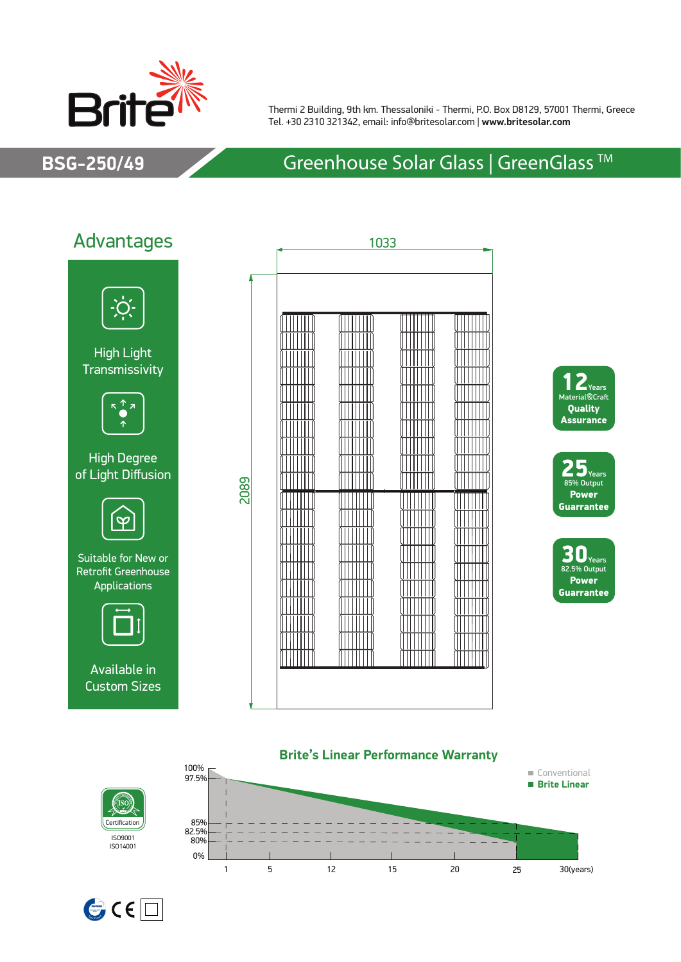

Thermi 2 Building, 9th km. Thessaloniki - Thermi, P.O. Box D8129, 57001 Thermi, Greece Tel. +30 2310 321342, email: info@britesolar.com | **www.britesolar.com**

## **BSG-250/49** Greenhouse Solar Glass | GreenGlass ™















Certification ISO9001 ISO14001